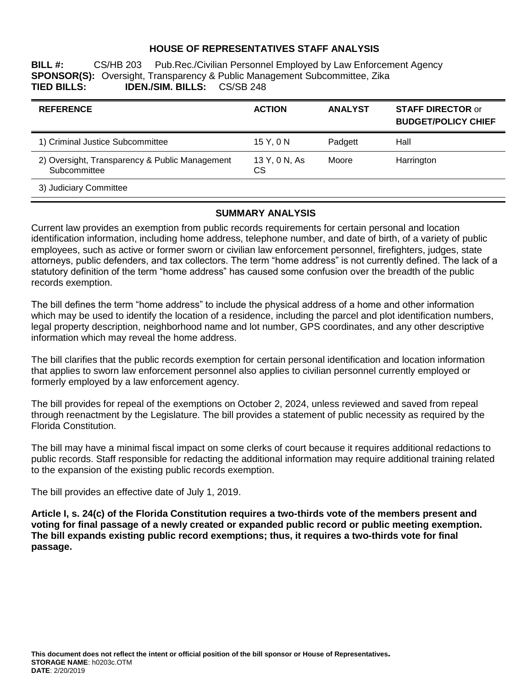### **HOUSE OF REPRESENTATIVES STAFF ANALYSIS**

**BILL #:** CS/HB 203 Pub.Rec./Civilian Personnel Employed by Law Enforcement Agency **SPONSOR(S):** Oversight, Transparency & Public Management Subcommittee, Zika<br>**TIED BILLS: IDEN./SIM. BILLS:** CS/SB 248 **TIED BILLS: IDEN./SIM. BILLS:** CS/SB 248

| <b>REFERENCE</b>                                               | <b>ACTION</b>       | <b>ANALYST</b> | <b>STAFF DIRECTOR or</b><br><b>BUDGET/POLICY CHIEF</b> |
|----------------------------------------------------------------|---------------------|----------------|--------------------------------------------------------|
| 1) Criminal Justice Subcommittee                               | 15 Y, 0 N           | Padgett        | Hall                                                   |
| 2) Oversight, Transparency & Public Management<br>Subcommittee | 13 Y, 0 N, As<br>СS | Moore          | Harrington                                             |
| 3) Judiciary Committee                                         |                     |                |                                                        |

#### **SUMMARY ANALYSIS**

Current law provides an exemption from public records requirements for certain personal and location identification information, including home address, telephone number, and date of birth, of a variety of public employees, such as active or former sworn or civilian law enforcement personnel, firefighters, judges, state attorneys, public defenders, and tax collectors. The term "home address" is not currently defined. The lack of a statutory definition of the term "home address" has caused some confusion over the breadth of the public records exemption.

The bill defines the term "home address" to include the physical address of a home and other information which may be used to identify the location of a residence, including the parcel and plot identification numbers, legal property description, neighborhood name and lot number, GPS coordinates, and any other descriptive information which may reveal the home address.

The bill clarifies that the public records exemption for certain personal identification and location information that applies to sworn law enforcement personnel also applies to civilian personnel currently employed or formerly employed by a law enforcement agency.

The bill provides for repeal of the exemptions on October 2, 2024, unless reviewed and saved from repeal through reenactment by the Legislature. The bill provides a statement of public necessity as required by the Florida Constitution.

The bill may have a minimal fiscal impact on some clerks of court because it requires additional redactions to public records. Staff responsible for redacting the additional information may require additional training related to the expansion of the existing public records exemption.

The bill provides an effective date of July 1, 2019.

**Article I, s. 24(c) of the Florida Constitution requires a two-thirds vote of the members present and voting for final passage of a newly created or expanded public record or public meeting exemption. The bill expands existing public record exemptions; thus, it requires a two-thirds vote for final passage.**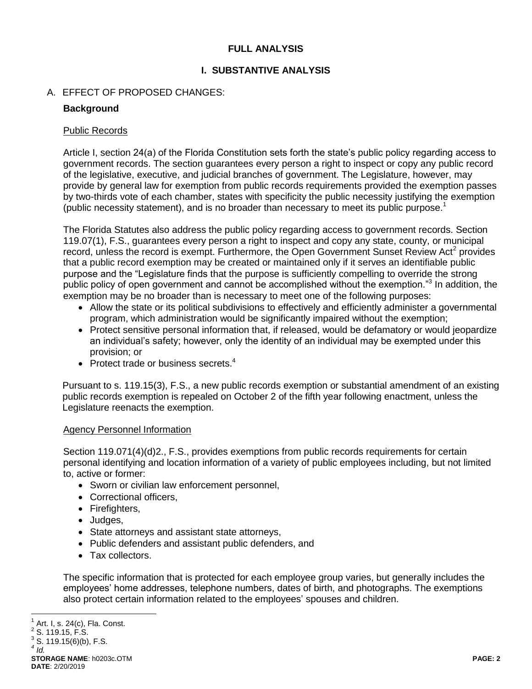# **FULL ANALYSIS**

# **I. SUBSTANTIVE ANALYSIS**

# A. EFFECT OF PROPOSED CHANGES:

# **Background**

### Public Records

Article I, section 24(a) of the Florida Constitution sets forth the state's public policy regarding access to government records. The section guarantees every person a right to inspect or copy any public record of the legislative, executive, and judicial branches of government. The Legislature, however, may provide by general law for exemption from public records requirements provided the exemption passes by two-thirds vote of each chamber, states with specificity the public necessity justifying the exemption (public necessity statement), and is no broader than necessary to meet its public purpose.<sup>1</sup>

The Florida Statutes also address the public policy regarding access to government records. Section 119.07(1), F.S., guarantees every person a right to inspect and copy any state, county, or municipal record, unless the record is exempt. Furthermore, the Open Government Sunset Review Act<sup>2</sup> provides that a public record exemption may be created or maintained only if it serves an identifiable public purpose and the "Legislature finds that the purpose is sufficiently compelling to override the strong public policy of open government and cannot be accomplished without the exemption."<sup>3</sup> In addition, the exemption may be no broader than is necessary to meet one of the following purposes:

- Allow the state or its political subdivisions to effectively and efficiently administer a governmental program, which administration would be significantly impaired without the exemption;
- Protect sensitive personal information that, if released, would be defamatory or would jeopardize an individual's safety; however, only the identity of an individual may be exempted under this provision; or
- Protect trade or business secrets. $4$

Pursuant to s. 119.15(3), F.S., a new public records exemption or substantial amendment of an existing public records exemption is repealed on October 2 of the fifth year following enactment, unless the Legislature reenacts the exemption.

## Agency Personnel Information

Section 119.071(4)(d)2., F.S., provides exemptions from public records requirements for certain personal identifying and location information of a variety of public employees including, but not limited to, active or former:

- Sworn or civilian law enforcement personnel,
- Correctional officers,
- Firefighters,
- Judges,
- State attorneys and assistant state attorneys,
- Public defenders and assistant public defenders, and
- Tax collectors.

The specific information that is protected for each employee group varies, but generally includes the employees' home addresses, telephone numbers, dates of birth, and photographs. The exemptions also protect certain information related to the employees' spouses and children.

**STORAGE NAME**: h0203c.OTM **PAGE: 2 DATE**: 2/20/2019 *4 Id.*

 $\overline{a}$ 1 Art. I, s. 24(c), Fla. Const.  $2$  S. 119.15, F.S.

 $3$  S. 119.15(6)(b), F.S.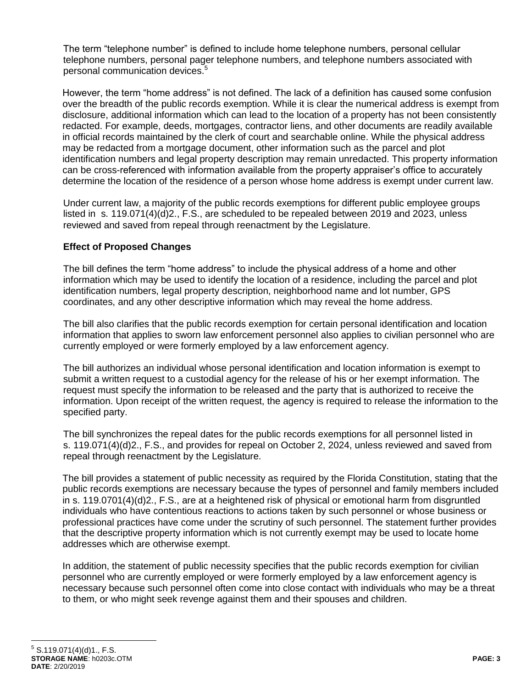The term "telephone number" is defined to include home telephone numbers, personal cellular telephone numbers, personal pager telephone numbers, and telephone numbers associated with personal communication devices.<sup>5</sup>

However, the term "home address" is not defined. The lack of a definition has caused some confusion over the breadth of the public records exemption. While it is clear the numerical address is exempt from disclosure, additional information which can lead to the location of a property has not been consistently redacted. For example, deeds, mortgages, contractor liens, and other documents are readily available in official records maintained by the clerk of court and searchable online. While the physical address may be redacted from a mortgage document, other information such as the parcel and plot identification numbers and legal property description may remain unredacted. This property information can be cross-referenced with information available from the property appraiser's office to accurately determine the location of the residence of a person whose home address is exempt under current law.

Under current law, a majority of the public records exemptions for different public employee groups listed in s. 119.071(4)(d)2., F.S., are scheduled to be repealed between 2019 and 2023, unless reviewed and saved from repeal through reenactment by the Legislature.

# **Effect of Proposed Changes**

The bill defines the term "home address" to include the physical address of a home and other information which may be used to identify the location of a residence, including the parcel and plot identification numbers, legal property description, neighborhood name and lot number, GPS coordinates, and any other descriptive information which may reveal the home address.

The bill also clarifies that the public records exemption for certain personal identification and location information that applies to sworn law enforcement personnel also applies to civilian personnel who are currently employed or were formerly employed by a law enforcement agency.

The bill authorizes an individual whose personal identification and location information is exempt to submit a written request to a custodial agency for the release of his or her exempt information. The request must specify the information to be released and the party that is authorized to receive the information. Upon receipt of the written request, the agency is required to release the information to the specified party.

The bill synchronizes the repeal dates for the public records exemptions for all personnel listed in s. 119.071(4)(d)2., F.S., and provides for repeal on October 2, 2024, unless reviewed and saved from repeal through reenactment by the Legislature.

The bill provides a statement of public necessity as required by the Florida Constitution, stating that the public records exemptions are necessary because the types of personnel and family members included in s. 119.0701(4)(d)2., F.S., are at a heightened risk of physical or emotional harm from disgruntled individuals who have contentious reactions to actions taken by such personnel or whose business or professional practices have come under the scrutiny of such personnel. The statement further provides that the descriptive property information which is not currently exempt may be used to locate home addresses which are otherwise exempt.

In addition, the statement of public necessity specifies that the public records exemption for civilian personnel who are currently employed or were formerly employed by a law enforcement agency is necessary because such personnel often come into close contact with individuals who may be a threat to them, or who might seek revenge against them and their spouses and children.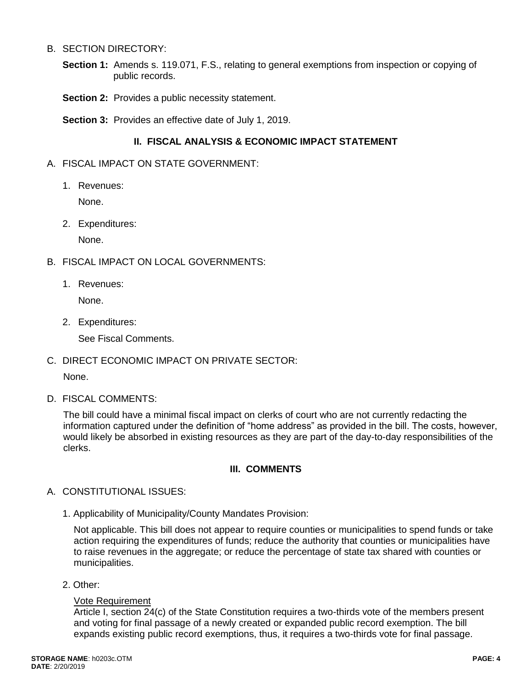### B. SECTION DIRECTORY:

- **Section 1:** Amends s. 119.071, F.S., relating to general exemptions from inspection or copying of public records.
- **Section 2:** Provides a public necessity statement.
- **Section 3:** Provides an effective date of July 1, 2019.

# **II. FISCAL ANALYSIS & ECONOMIC IMPACT STATEMENT**

- A. FISCAL IMPACT ON STATE GOVERNMENT:
	- 1. Revenues:

None.

2. Expenditures:

None.

- B. FISCAL IMPACT ON LOCAL GOVERNMENTS:
	- 1. Revenues:

None.

2. Expenditures:

See Fiscal Comments.

C. DIRECT ECONOMIC IMPACT ON PRIVATE SECTOR:

None.

D. FISCAL COMMENTS:

The bill could have a minimal fiscal impact on clerks of court who are not currently redacting the information captured under the definition of "home address" as provided in the bill. The costs, however, would likely be absorbed in existing resources as they are part of the day-to-day responsibilities of the clerks.

## **III. COMMENTS**

- A. CONSTITUTIONAL ISSUES:
	- 1. Applicability of Municipality/County Mandates Provision:

Not applicable. This bill does not appear to require counties or municipalities to spend funds or take action requiring the expenditures of funds; reduce the authority that counties or municipalities have to raise revenues in the aggregate; or reduce the percentage of state tax shared with counties or municipalities.

2. Other:

#### Vote Requirement

Article I, section 24(c) of the State Constitution requires a two-thirds vote of the members present and voting for final passage of a newly created or expanded public record exemption. The bill expands existing public record exemptions, thus, it requires a two-thirds vote for final passage.